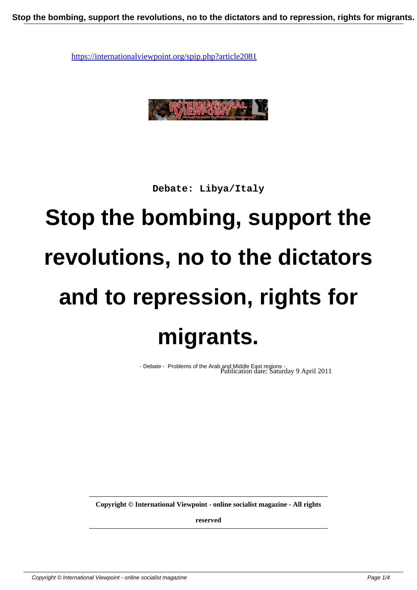

**Debate: Libya/Italy**

## **Stop the bombing, support the revolutions, no to the dictators and to repression, rights for migrants.**

- Debate - Problems of the Arab and Middle East regions - Publication date: Saturday 9 April 2011

**Copyright © International Viewpoint - online socialist magazine - All rights**

**reserved**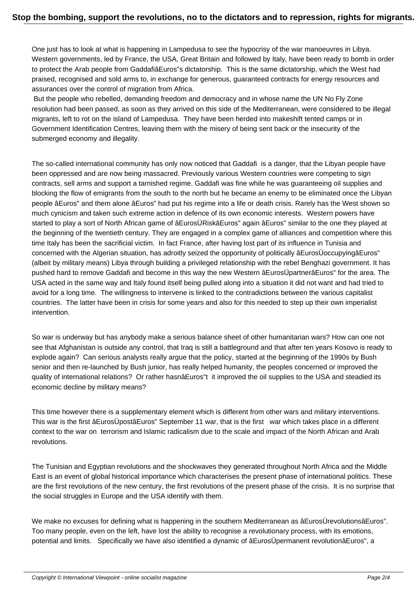One just has to look at what is happening in Lampedusa to see the hypocrisy of the war manoeuvres in Libya. Western governments, led by France, the USA, Great Britain and followed by Italy, have been ready to bomb in order to protect the Arab people from GaddafiâEuros"s dictatorship. This is the same dictatorship, which the West had praised, recognised and sold arms to, in exchange for generous, guaranteed contracts for energy resources and assurances over the control of migration from Africa.

 But the people who rebelled, demanding freedom and democracy and in whose name the UN No Fly Zone resolution had been passed, as soon as they arrived on this side of the Mediterranean, were considered to be illegal migrants, left to rot on the island of Lampedusa. They have been herded into makeshift tented camps or in Government Identification Centres, leaving them with the misery of being sent back or the insecurity of the submerged economy and illegality.

The so-called international community has only now noticed that Gaddafi is a danger, that the Libyan people have been oppressed and are now being massacred. Previously various Western countries were competing to sign contracts, sell arms and support a tarnished regime. Gaddafi was fine while he was guaranteeing oil supplies and blocking the flow of emigrants from the south to the north but he became an enemy to be eliminated once the Libyan people âEuros" and them alone âEuros" had put his regime into a life or death crisis. Rarely has the West shown so much cynicism and taken such extreme action in defence of its own economic interests. Western powers have started to play a sort of North African game of âEurosÜRiskâEuros" again âEuros" similar to the one they played at the beginning of the twentieth century. They are engaged in a complex game of alliances and competition where this time Italy has been the sacrificial victim. In fact France, after having lost part of its influence in Tunisia and concerned with the Algerian situation, has adroitly seized the opportunity of politically âEurosÜoccupyingâEuros" (albeit by military means) Libya through building a privileged relationship with the rebel Benghazi government. It has pushed hard to remove Gaddafi and become in this way the new Western âEurosÜpartnerâEuros" for the area. The USA acted in the same way and Italy found itself being pulled along into a situation it did not want and had tried to avoid for a long time. The willingness to intervene is linked to the contradictions between the various capitalist countries. The latter have been in crisis for some years and also for this needed to step up their own imperialist intervention.

So war is underway but has anybody make a serious balance sheet of other humanitarian wars? How can one not see that Afghanistan is outside any control, that Iraq is still a battleground and that after ten years Kosovo is ready to explode again? Can serious analysts really argue that the policy, started at the beginning of the 1990s by Bush senior and then re-launched by Bush junior, has really helped humanity, the peoples concerned or improved the quality of international relations? Or rather hasnâEuros"t it improved the oil supplies to the USA and steadied its economic decline by military means?

This time however there is a supplementary element which is different from other wars and military interventions. This war is the first âEurosÜpostâEuros" September 11 war, that is the first war which takes place in a different context to the war on terrorism and Islamic radicalism due to the scale and impact of the North African and Arab revolutions.

The Tunisian and Egyptian revolutions and the shockwaves they generated throughout North Africa and the Middle East is an event of global historical importance which characterises the present phase of international politics. These are the first revolutions of the new century, the first revolutions of the present phase of the crisis. It is no surprise that the social struggles in Europe and the USA identify with them.

We make no excuses for defining what is happening in the southern Mediterranean as âEurosÜrevolutionsâEuros". Too many people, even on the left, have lost the ability to recognise a revolutionary process, with its emotions, potential and limits. Specifically we have also identified a dynamic of âEurosÜpermanent revolutionâEuros", a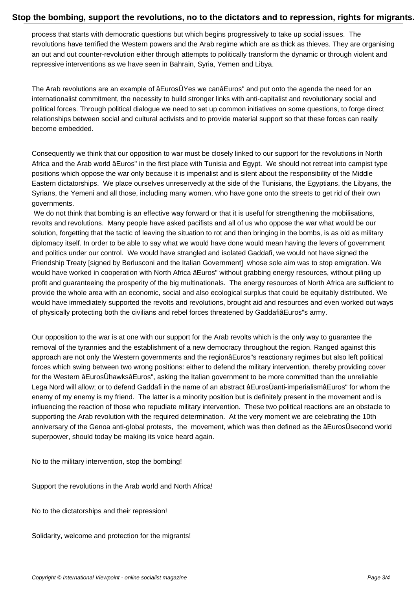process that starts with democratic questions but which begins progressively to take up social issues. The revolutions have terrified the Western powers and the Arab regime which are as thick as thieves. They are organising an out and out counter-revolution either through attempts to politically transform the dynamic or through violent and repressive interventions as we have seen in Bahrain, Syria, Yemen and Libya.

The Arab revolutions are an example of âEurosÜYes we canâEuros" and put onto the agenda the need for an internationalist commitment, the necessity to build stronger links with anti-capitalist and revolutionary social and political forces. Through political dialogue we need to set up common initiatives on some questions, to forge direct relationships between social and cultural activists and to provide material support so that these forces can really become embedded.

Consequently we think that our opposition to war must be closely linked to our support for the revolutions in North Africa and the Arab world âEuros" in the first place with Tunisia and Egypt. We should not retreat into campist type positions which oppose the war only because it is imperialist and is silent about the responsibility of the Middle Eastern dictatorships. We place ourselves unreservedly at the side of the Tunisians, the Egyptians, the Libyans, the Syrians, the Yemeni and all those, including many women, who have gone onto the streets to get rid of their own governments.

We do not think that bombing is an effective way forward or that it is useful for strengthening the mobilisations, revolts and revolutions. Many people have asked pacifists and all of us who oppose the war what would be our solution, forgetting that the tactic of leaving the situation to rot and then bringing in the bombs, is as old as military diplomacy itself. In order to be able to say what we would have done would mean having the levers of government and politics under our control. We would have strangled and isolated Gaddafi, we would not have signed the Friendship Treaty [signed by Berlusconi and the Italian Government] whose sole aim was to stop emigration. We would have worked in cooperation with North Africa âEuros" without grabbing energy resources, without piling up profit and guaranteeing the prosperity of the big multinationals. The energy resources of North Africa are sufficient to provide the whole area with an economic, social and also ecological surplus that could be equitably distributed. We would have immediately supported the revolts and revolutions, brought aid and resources and even worked out ways of physically protecting both the civilians and rebel forces threatened by GaddafiâEuros"s army.

Our opposition to the war is at one with our support for the Arab revolts which is the only way to guarantee the removal of the tyrannies and the establishment of a new democracy throughout the region. Ranged against this approach are not only the Western governments and the regionâEuros"s reactionary regimes but also left political forces which swing between two wrong positions: either to defend the military intervention, thereby providing cover for the Western âEurosÜhawksâEuros", asking the Italian government to be more committed than the unreliable Lega Nord will allow; or to defend Gaddafi in the name of an abstract âEurosÜanti-imperialismâEuros" for whom the enemy of my enemy is my friend. The latter is a minority position but is definitely present in the movement and is influencing the reaction of those who repudiate military intervention. These two political reactions are an obstacle to supporting the Arab revolution with the required determination. At the very moment we are celebrating the 10th anniversary of the Genoa anti-global protests, the movement, which was then defined as the âEurosÜsecond world superpower, should today be making its voice heard again.

No to the military intervention, stop the bombing!

Support the revolutions in the Arab world and North Africa!

No to the dictatorships and their repression!

Solidarity, welcome and protection for the migrants!